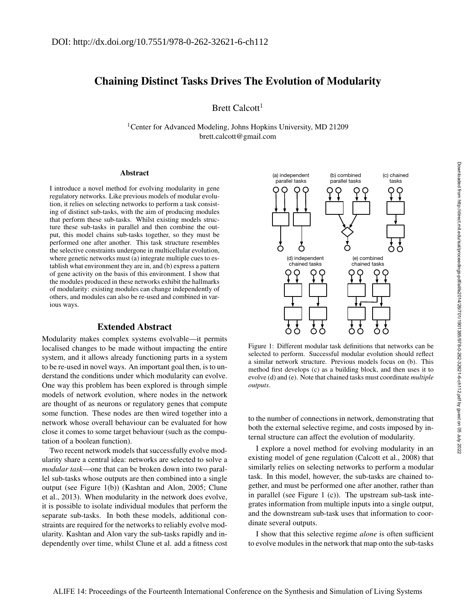# Chaining Distinct Tasks Drives The Evolution of Modularity

Brett Calcott<sup>1</sup>

<sup>1</sup>Center for Advanced Modeling, Johns Hopkins University, MD 21209 brett.calcott@gmail.com

#### Abstract

I introduce a novel method for evolving modularity in gene regulatory networks. Like previous models of modular evolution, it relies on selecting networks to perform a task consisting of distinct sub-tasks, with the aim of producing modules that perform these sub-tasks. Whilst existing models structure these sub-tasks in parallel and then combine the output, this model chains sub-tasks together, so they must be performed one after another. This task structure resembles the selective constraints undergone in multicellular evolution, where genetic networks must (a) integrate multiple cues to establish what environment they are in, and (b) express a pattern of gene activity on the basis of this environment. I show that the modules produced in these networks exhibit the hallmarks of modularity: existing modules can change independently of others, and modules can also be re-used and combined in various ways.

### Extended Abstract

Modularity makes complex systems evolvable—it permits localised changes to be made without impacting the entire system, and it allows already functioning parts in a system to be re-used in novel ways. An important goal then, is to understand the conditions under which modularity can evolve. One way this problem has been explored is through simple models of network evolution, where nodes in the network are thought of as neurons or regulatory genes that compute some function. These nodes are then wired together into a network whose overall behaviour can be evaluated for how close it comes to some target behaviour (such as the computation of a boolean function).

Two recent network models that successfully evolve modularity share a central idea: networks are selected to solve a *modular task*—one that can be broken down into two parallel sub-tasks whose outputs are then combined into a single output (see Figure 1(b)) (Kashtan and Alon, 2005; Clune et al., 2013). When modularity in the network does evolve, it is possible to isolate individual modules that perform the separate sub-tasks. In both these models, additional constraints are required for the networks to reliably evolve modularity. Kashtan and Alon vary the sub-tasks rapidly and independently over time, whilst Clune et al. add a fitness cost



Figure 1: Different modular task definitions that networks can be selected to perform. Successful modular evolution should reflect a similar network structure. Previous models focus on (b). This method first develops (c) as a building block, and then uses it to evolve (d) and (e). Note that chained tasks must coordinate *multiple outputs*.

to the number of connections in network, demonstrating that both the external selective regime, and costs imposed by internal structure can affect the evolution of modularity.

I explore a novel method for evolving modularity in an existing model of gene regulation (Calcott et al., 2008) that similarly relies on selecting networks to perform a modular task. In this model, however, the sub-tasks are chained together, and must be performed one after another, rather than in parallel (see Figure 1 (c)). The upstream sub-task integrates information from multiple inputs into a single output, and the downstream sub-task uses that information to coordinate several outputs.

I show that this selective regime *alone* is often sufficient to evolve modules in the network that map onto the sub-tasks